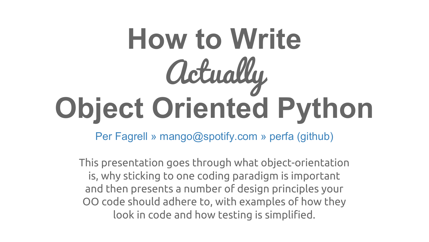## **How to Write**  Actually **Object Oriented Python**

Per Fagrell » mango@spotify.com » perfa (github)

This presentation goes through what object-orientation is, why sticking to one coding paradigm is important and then presents a number of design principles your OO code should adhere to, with examples of how they look in code and how testing is simplified.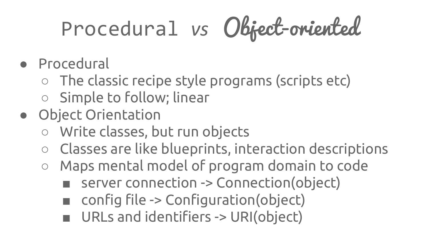## Procedural *vs* Object-oriented

- Procedural
	- The classic recipe style programs (scripts etc)
	- Simple to follow; linear
- Object Orientation
	- Write classes, but run objects
	- Classes are like blueprints, interaction descriptions
	- Maps mental model of program domain to code
		- server connection -> Connection(object)
		- config file -> Configuration(object)
		- URLs and identifiers -> URI(object)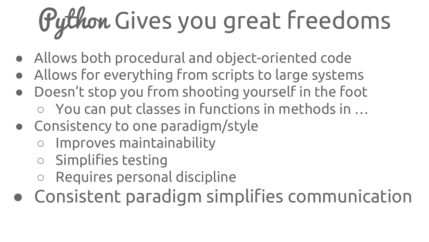# Python Gives you great freedoms

- Allows both procedural and object-oriented code
- Allows for everything from scripts to large systems
- Doesn't stop you from shooting yourself in the foot
	- You can put classes in functions in methods in …
- Consistency to one paradigm/style
	- Improves maintainability
	- Simplifies testing
	- Requires personal discipline
- Consistent paradigm simplifies communication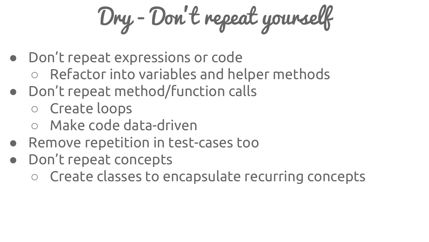Dry - Don't repeat yourself

- Don't repeat expressions or code
	- Refactor into variables and helper methods
- Don't repeat method/function calls
	- Create loops
	- Make code data-driven
- Remove repetition in test-cases too
- Don't repeat concepts
	- Create classes to encapsulate recurring concepts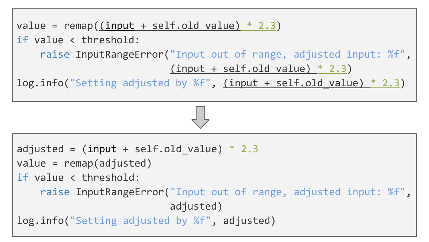```
value = remap((input + self.old value) * 2.3)if value < threshold:
     raise InputRangeError("Input out of range, adjusted input: %f", 
                          (input + self.old value) * 2.3)log.info("Setting adjusted by %f", (input + self.old value) * 2.3)
```

```
adjusted = (input + self.old value) * 2.3value = remap(adjusted)
if value < threshold:
     raise InputRangeError("Input out of range, adjusted input: %f", 
                           adjusted)
log.info("Setting adjusted by %f", adjusted)
```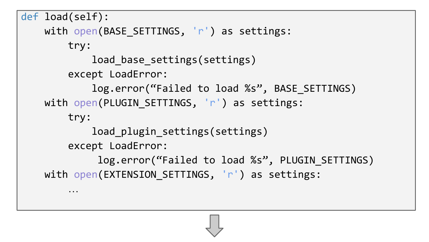```
def load(self):
    with open(BASE_SETTINGS, 'r') as settings:
         try:
             load_base_settings(settings)
         except LoadError:
            log.error("Failed to load %s", BASE SETTINGS)
    with open(PLUGIN SETTINGS, 'r') as settings:
         try:
            load plugin settings(settings)
         except LoadError:
             log.error("Failed to load %s", PLUGIN SETTINGS)
    with open(EXTENSION SETTINGS, 'r') as settings:
 …
```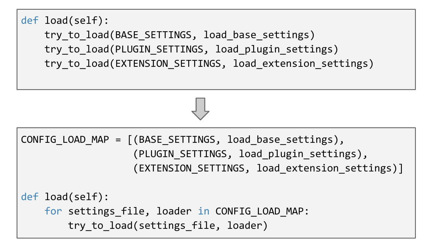```
def load(self):
    try to load(BASE SETTINGS, load base settings)
    try to load(PLUGIN SETTINGS, load plugin settings)
    try to load(EXTENSION SETTINGS, load extension settings)
```

```
CONFIG LOAD MAP = [(BASE SETTINGS, load base settings), (PLUGIN_SETTINGS, load_plugin_settings),
                   (EXTENSION SETTINGS, load extension settings)]
def load(self):
    for settings file, loader in CONFIG LOAD MAP:
        try to load(settings file, loader)
```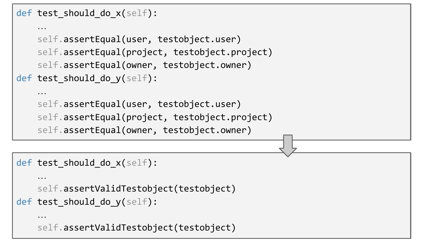```
def test should do x(self):
```

```
 …
     self.assertEqual(user, testobject.user)
     self.assertEqual(project, testobject.project)
     self.assertEqual(owner, testobject.owner)
def test should do y(self):
 …
```

```
 self.assertEqual(user, testobject.user)
 self.assertEqual(project, testobject.project)
 self.assertEqual(owner, testobject.owner)
```

```
def test should do x(self):
```

```
 …
    self.assertValidTestobject(testobject)
```

```
def test should do y(self):
```
…

```
 self.assertValidTestobject(testobject)
```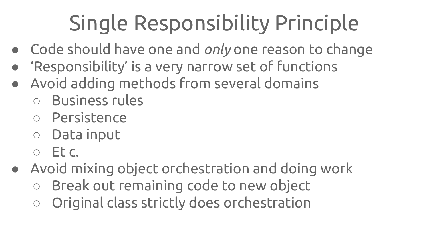#### Single Responsibility Principle

- Code should have one and *only* one reason to change
- 'Responsibility' is a very narrow set of functions
- Avoid adding methods from several domains
	- Business rules
	- Persistence
	- Data input
	- $O$  Ftc.
- Avoid mixing object orchestration and doing work
	- Break out remaining code to new object
	- Original class strictly does orchestration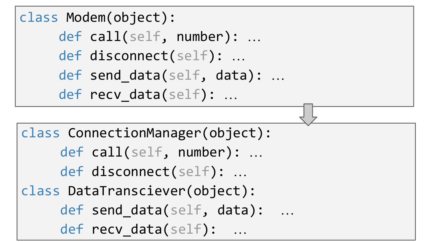```
class Modem(object):
      def call(self, number): …
      def disconnect(self): …
     def send data(self, data): ...
     def recv_data(self): ...
```

```
class ConnectionManager(object):
      def call(self, number): …
      def disconnect(self): …
class DataTransciever(object):
     def send data(self, data):
     def recv data(self): …
```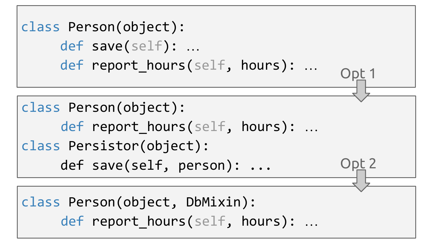class Person(object): def save(self): … def report hours(self, hours): ... class Person(object): def report hours(self, hours): ... class Persistor(object): def save(self, person): ... class Person(object, DbMixin): def report hours(self, hours): ... Opt 2 Opt 1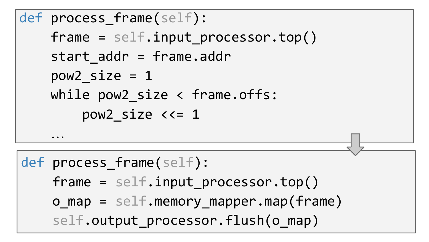```
def process frame(self):
    frame = self.input processor.top() start_addr = frame.addr
    pow2 size = 1 while pow2_size < frame.offs:
        pow2 size <<= 1 …
def process frame(self):
    frame = self.input processor.top() o_map = self.memory_mapper.map(frame) 
    self.output processor.flush(o map)
```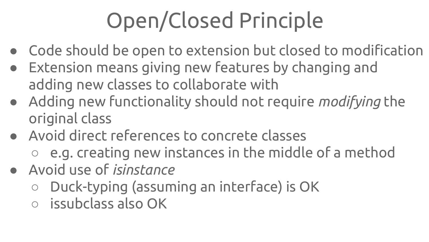### Open/Closed Principle

- Code should be open to extension but closed to modification
- Extension means giving new features by changing and adding new classes to collaborate with
- Adding new functionality should not require *modifying* the original class
- Avoid direct references to concrete classes
	- e.g. creating new instances in the middle of a method
- Avoid use of *isinstance*
	- Duck-typing (assuming an interface) is OK
	- issubclass also OK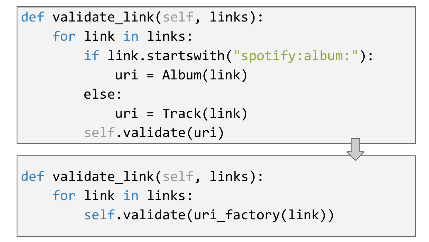```
def validate link(self, links):
     for link in links:
          if link.startswith("spotify:album:"):
             uri = Album(link)
          else:
             uri = \text{Track}(\text{link}) self.validate(uri)
```

```
def validate link(self, links):
     for link in links: 
        self.validate(uri factory(link))
```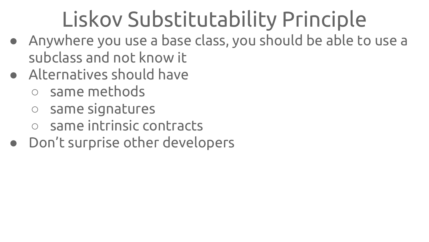#### Liskov Substitutability Principle

- Anywhere you use a base class, you should be able to use a subclass and not know it
- Alternatives should have
	- same methods
	- same signatures
	- same intrinsic contracts
- Don't surprise other developers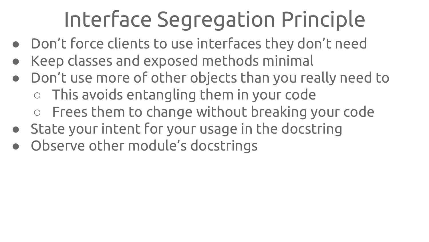#### Interface Segregation Principle

- Don't force clients to use interfaces they don't need
- Keep classes and exposed methods minimal
- Don't use more of other objects than you really need to ○ This avoids entangling them in your code ○ Frees them to change without breaking your code
- State your intent for your usage in the docstring
- Observe other module's docstrings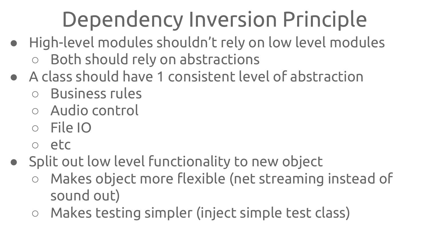#### Dependency Inversion Principle

- High-level modules shouldn't rely on low level modules Both should rely on abstractions
- A class should have 1 consistent level of abstraction
	- Business rules
	- Audio control
	- File IO
	- etc
- Split out low level functionality to new object
	- Makes object more flexible (net streaming instead of sound out)
	- Makes testing simpler (inject simple test class)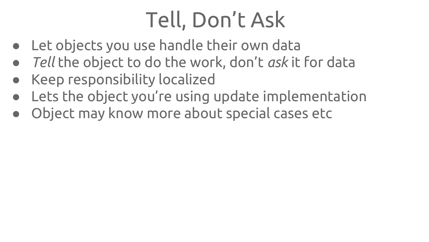#### Tell, Don't Ask

- Let objects you use handle their own data
- *● Tell* the object to do the work, don't *ask* it for data
- Keep responsibility localized
- Lets the object you're using update implementation
- Object may know more about special cases etc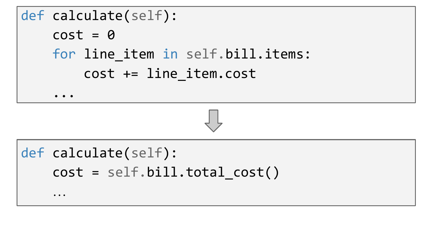```
def calculate(self):
    cost = 0for line item in self.bill.items:
         cost += line_item.cost
 ...
def calculate(self):
```

```
 cost = self.bill.total_cost()
```
…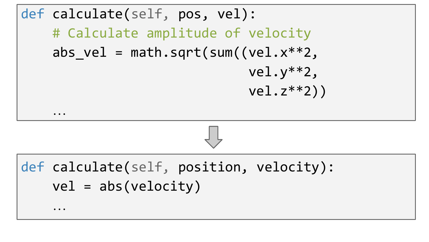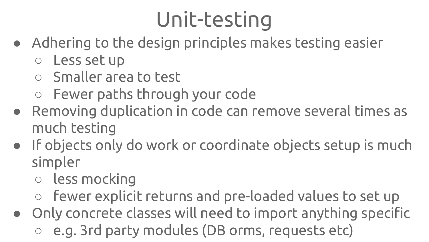#### Unit-testing

- Adhering to the design principles makes testing easier
	- Less set up
	- Smaller area to test
	- Fewer paths through your code
- Removing duplication in code can remove several times as much testing
- If objects only do work or coordinate objects setup is much simpler
	- less mocking
	- fewer explicit returns and pre-loaded values to set up
- Only concrete classes will need to import anything specific
	- e.g. 3rd party modules (DB orms, requests etc)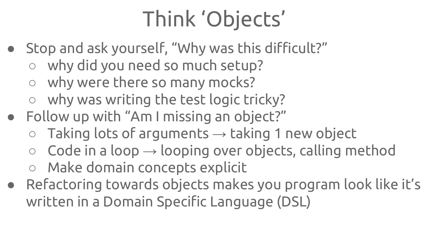#### Think 'Objects'

- Stop and ask yourself, "Why was this difficult?"
	- why did you need so much setup?
	- why were there so many mocks?
	- why was writing the test logic tricky?
- Follow up with "Am I missing an object?"
	- $\circ$  Taking lots of arguments  $\rightarrow$  taking 1 new object
	- $\circ$  Code in a loop  $\rightarrow$  looping over objects, calling method
	- Make domain concepts explicit
- Refactoring towards objects makes you program look like it's written in a Domain Specific Language (DSL)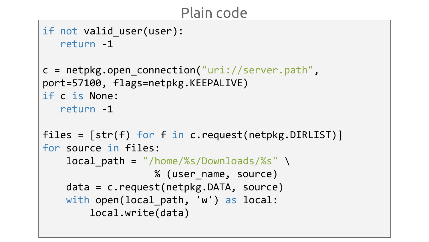#### Plain code

```
if not valid user(user):
    return -1
c = netpkg.open connection("uri://server.path",
port=57100, flags=netpkg.KEEPALIVE)
if c is None:
    return -1
files = [str(f) for f in c.request(netpkg.DIRLIST)]
for source in files:
    local path = "/home/%s/Downloads/%s" \
                    % (user_name, source)
     data = c.request(netpkg.DATA, source)
    with open(local path, 'w') as local:
         local.write(data)
```